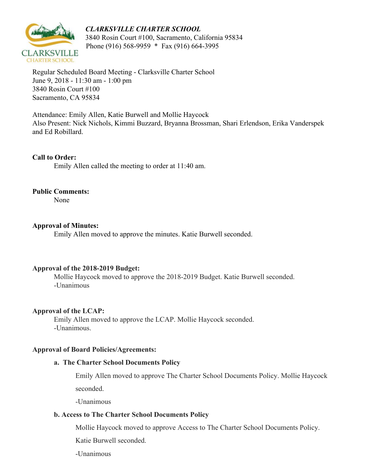



 3840 Rosin Court #100, Sacramento, California 95834 Phone (916) 568-9959 \* Fax (916) 664-3995

Regular Scheduled Board Meeting - Clarksville Charter School June 9, 2018 - 11:30 am - 1:00 pm 3840 Rosin Court #100 Sacramento, CA 95834

Attendance: Emily Allen, Katie Burwell and Mollie Haycock Also Present: Nick Nichols, Kimmi Buzzard, Bryanna Brossman, Shari Erlendson, Erika Vanderspek and Ed Robillard.

#### **Call to Order:**

Emily Allen called the meeting to order at 11:40 am.

#### **Public Comments:**

None

#### **Approval of Minutes:**

Emily Allen moved to approve the minutes. Katie Burwell seconded.

#### **Approval of the 2018-2019 Budget:**

Mollie Haycock moved to approve the 2018-2019 Budget. Katie Burwell seconded. -Unanimous

#### **Approval of the LCAP:**

Emily Allen moved to approve the LCAP. Mollie Haycock seconded. -Unanimous.

#### **Approval of Board Policies/Agreements:**

#### **a. The Charter School Documents Policy**

Emily Allen moved to approve The Charter School Documents Policy. Mollie Haycock seconded.

-Unanimous

### **b. Access to The Charter School Documents Policy**

Mollie Haycock moved to approve Access to The Charter School Documents Policy.

Katie Burwell seconded.

-Unanimous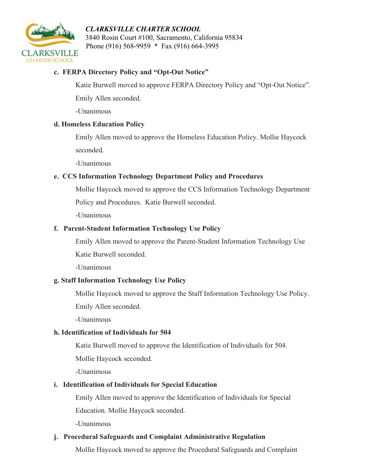### *CLARKSVILLE CHARTER SCHOOL*



 3840 Rosin Court #100, Sacramento, California 95834 Phone (916) 568-9959 \* Fax (916) 664-3995

### **c. FERPA Directory Policy and "Opt-Out Notice"**

Katie Burwell moved to approve FERPA Directory Policy and "Opt-Out Notice".

Emily Allen seconded.

-Unanimous

### **d. Homeless Education Policy**

Emily Allen moved to approve the Homeless Education Policy. Mollie Haycock seconded.

-Unanimous

## **e. CCS Information Technology Department Policy and Procedures**

Mollie Haycock moved to approve the CCS Information Technology Department

Policy and Procedures. Katie Burwell seconded.

-Unanimous

## **f. Parent-Student Information Technology Use Policy**

Emily Allen moved to approve the Parent-Student Information Technology Use

Katie Burwell seconded.

-Unanimous

## **g. Staff Information Technology Use Policy**

Mollie Haycock moved to approve the Staff Information Technology Use Policy.

Emily Allen seconded.

-Unanimous

### **h. Identification of Individuals for 504**

Katie Burwell moved to approve the Identification of Individuals for 504.

Mollie Haycock seconded.

-Unanimous

## **i. Identification of Individuals for Special Education**

Emily Allen moved to approve the Identification of Individuals for Special

Education. Mollie Haycock seconded.

-Unanimous

## **j. Procedural Safeguards and Complaint Administrative Regulation**

Mollie Haycock moved to approve the Procedural Safeguards and Complaint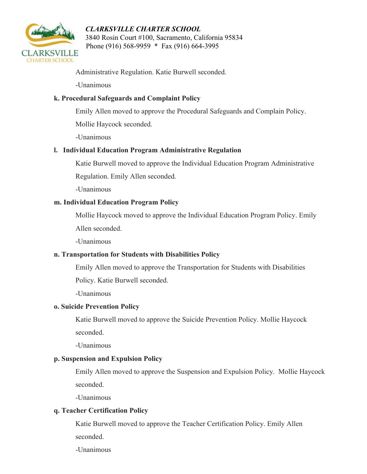## *CLARKSVILLE CHARTER SCHOOL*



 3840 Rosin Court #100, Sacramento, California 95834 Phone (916) 568-9959 \* Fax (916) 664-3995

Administrative Regulation. Katie Burwell seconded.

-Unanimous

### **k. Procedural Safeguards and Complaint Policy**

Emily Allen moved to approve the Procedural Safeguards and Complain Policy.

Mollie Haycock seconded.

-Unanimous

### **l. Individual Education Program Administrative Regulation**

Katie Burwell moved to approve the Individual Education Program Administrative

Regulation. Emily Allen seconded.

-Unanimous

### **m. Individual Education Program Policy**

Mollie Haycock moved to approve the Individual Education Program Policy. Emily

Allen seconded.

-Unanimous

### **n. Transportation for Students with Disabilities Policy**

Emily Allen moved to approve the Transportation for Students with Disabilities

Policy. Katie Burwell seconded.

-Unanimous

### **o. Suicide Prevention Policy**

Katie Burwell moved to approve the Suicide Prevention Policy. Mollie Haycock seconded.

-Unanimous

### **p. Suspension and Expulsion Policy**

Emily Allen moved to approve the Suspension and Expulsion Policy. Mollie Haycock seconded.

-Unanimous

### **q. Teacher Certification Policy**

Katie Burwell moved to approve the Teacher Certification Policy. Emily Allen seconded.

-Unanimous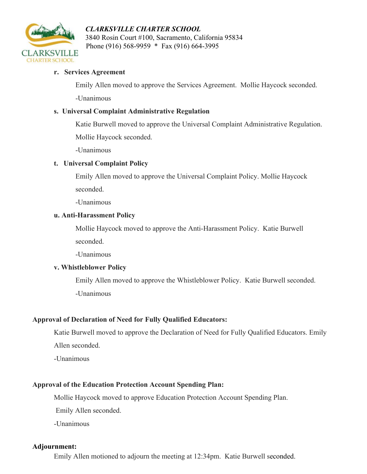

 *CLARKSVILLE CHARTER SCHOOL* 3840 Rosin Court #100, Sacramento, California 95834 Phone (916) 568-9959 \* Fax (916) 664-3995

#### **r. Services Agreement**

Emily Allen moved to approve the Services Agreement. Mollie Haycock seconded.

-Unanimous

### **s. Universal Complaint Administrative Regulation**

Katie Burwell moved to approve the Universal Complaint Administrative Regulation.

Mollie Haycock seconded.

-Unanimous

### **t. Universal Complaint Policy**

Emily Allen moved to approve the Universal Complaint Policy. Mollie Haycock seconded.

-Unanimous

#### **u. Anti-Harassment Policy**

Mollie Haycock moved to approve the Anti-Harassment Policy. Katie Burwell seconded.

-Unanimous

### **v. Whistleblower Policy**

Emily Allen moved to approve the Whistleblower Policy. Katie Burwell seconded. -Unanimous

### **Approval of Declaration of Need for Fully Qualified Educators:**

Katie Burwell moved to approve the Declaration of Need for Fully Qualified Educators. Emily Allen seconded.

-Unanimous

# **Approval of the Education Protection Account Spending Plan:**

Mollie Haycock moved to approve Education Protection Account Spending Plan.

Emily Allen seconded.

-Unanimous

## **Adjournment:**

Emily Allen motioned to adjourn the meeting at 12:34pm. Katie Burwell seconded.